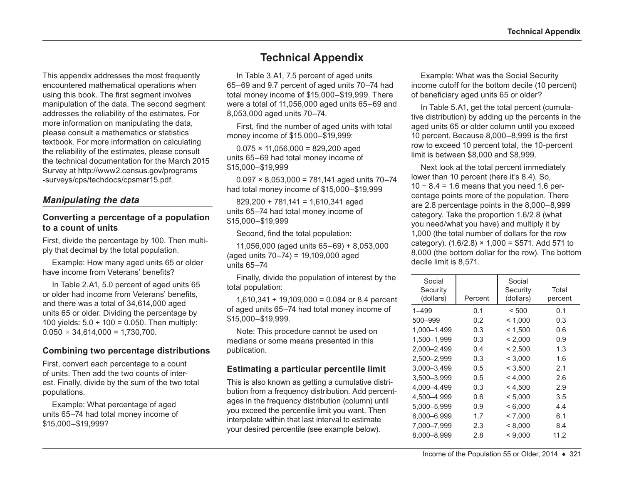This appendix addresses the most frequently encountered mathematical operations when using this book. The first segment involves manipulation of the data. The second segment addresses the reliability of the estimates. For more information on manipulating the data, please consult a mathematics or statistics textbook. For more information on calculating the reliability of the estimates, please consult the technical documentation for the March 2015 Survey at [http://www2.census.gov/programs](http://www2.census.gov/programs-surveys/cps/techdocs/cpsmar15.pdf) [-surveys/cps/techdocs/cpsmar15.pdf](http://www2.census.gov/programs-surveys/cps/techdocs/cpsmar15.pdf).

## *Manipulating the data*

#### **Converting a percentage of a population to a count of units**

First, divide the percentage by 100. Then multiply that decimal by the total population.

Example: How many aged units 65 or older have income from Veterans' benefits?

In Table 2.A1, 5.0 percent of aged units 65 or older had income from Veterans' benefits, and there was a total of 34,614,000 aged units 65 or older. Dividing the percentage by 100 yields:  $5.0 \div 100 = 0.050$ . Then multiply: 0.050 *×* 34,614,000 = 1,730,700.

#### **Combining two percentage distributions**

First, convert each percentage to a count of units. Then add the two counts of interest. Finally, divide by the sum of the two total populations.

Example: What percentage of aged units 65–74 had total money income of \$15,000–\$19,999?

# **Technical Appendix**

In Table 3.A1, 7.5 percent of aged units 65–69 and 9.7 percent of aged units 70–74 had total money income of \$15,000–\$19,999. There were a total of 11,056,000 aged units 65–69 and 8,053,000 aged units 70–74.

First, find the number of aged units with total money income of \$15,000–\$19,999:

 $0.075 \times 11,056,000 = 829,200$  aged units 65–69 had total money income of \$15,000–\$19,999

 $0.097 \times 8,053,000 = 781,141$  aged units 70–74 had total money income of \$15,000–\$19,999

829,200 + 781,141 = 1,610,341 aged units 65–74 had total money income of \$15,000–\$19,999

Second, find the total population:

11,056,000 (aged units 65–69) + 8,053,000 (aged units 70–74) = 19,109,000 aged units 65–74

Finally, divide the population of interest by the total population:

 $1,610,341 \div 19,109,000 = 0.084$  or 8.4 percent of aged units 65–74 had total money income of \$15,000–\$19,999.

Note: This procedure cannot be used on medians or some means presented in this publication.

#### **Estimating a particular percentile limit**

This is also known as getting a cumulative distribution from a frequency distribution. Add percentages in the frequency distribution (column) until you exceed the percentile limit you want. Then interpolate within that last interval to estimate your desired percentile (see example below).

Example: What was the Social Security income cutoff for the bottom decile (10 percent) of beneficiary aged units 65 or older?

In Table 5.A1, get the total percent (cumulative distribution) by adding up the percents in the aged units 65 or older column until you exceed 10 percent. Because 8,000–8,999 is the first row to exceed 10 percent total, the 10-percent limit is between \$8,000 and \$8,999.

Next look at the total percent immediately lower than 10 percent (here it's 8.4). So, 10 − 8.4 = 1.6 means that you need 1.6 percentage points more of the population. There are 2.8 percentage points in the 8,000–8,999 category. Take the proportion 1.6/2.8 (what you need/what you have) and multiply it by 1,000 (the total number of dollars for the row category).  $(1.6/2.8) \times 1,000 = $571$ . Add 571 to 8,000 (the bottom dollar for the row). The bottom decile limit is 8,571.

| Social<br>Security<br>(dollars) | Percent | Social<br>Security<br>(dollars) | Total<br>percent |
|---------------------------------|---------|---------------------------------|------------------|
| 1-499                           | 0.1     | < 500                           | 0.1              |
| 500–999                         | 0.2     | < 1,000                         | 0.3              |
| 1,000-1,499                     | 0.3     | < 1,500                         | 0.6              |
| 1,500-1,999                     | 0.3     | < 2,000                         | 0.9              |
| 2,000–2,499                     | 0.4     | < 2,500                         | 1.3              |
| 2,500–2,999                     | 0.3     | < 3,000                         | 1.6              |
| 3.000-3.499                     | 0.5     | < 3,500                         | 2.1              |
| 3,500–3,999                     | 0.5     | < 4,000                         | 2.6              |
| 4.000–4.499                     | 0.3     | < 4,500                         | 2.9              |
| 4.500–4.999                     | 0.6     | < 5.000                         | 3.5              |
| 5,000–5,999                     | 0.9     | < 6,000                         | 4.4              |
| 6.000–6.999                     | 1.7     | < 7,000                         | 6.1              |
| 7,000-7,999                     | 2.3     | < 8.000                         | 8.4              |
| 8.000–8.999                     | 2.8     | < 9.000                         | 11.2             |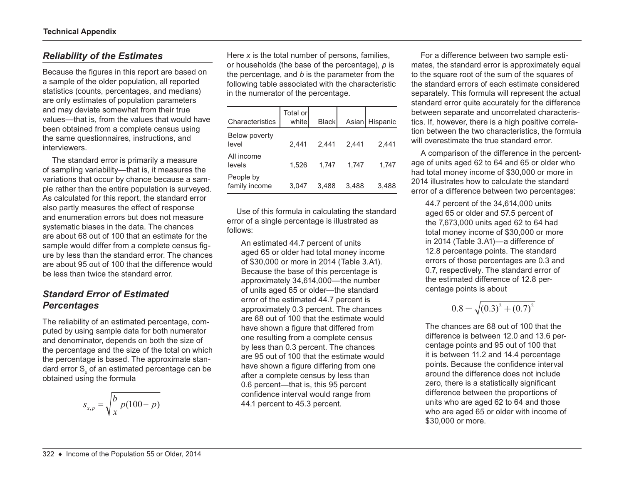### *Reliability of the Estimates*

Because the figures in this report are based on a sample of the older population, all reported statistics (counts, percentages, and medians) are only estimates of population parameters and may deviate somewhat from their true values—that is, from the values that would have been obtained from a complete census using the same questionnaires, instructions, and interviewers.

The standard error is primarily a measure of sampling variability—that is, it measures the variations that occur by chance because a sample rather than the entire population is surveyed. As calculated for this report, the standard error also partly measures the effect of response and enumeration errors but does not measure systematic biases in the data. The chances are about 68 out of 100 that an estimate for the sample would differ from a complete census figure by less than the standard error. The chances are about 95 out of 100 that the difference would be less than twice the standard error.

# *Standard Error of Estimated Percentages*

The reliability of an estimated percentage, computed by using sample data for both numerator and denominator, depends on both the size of the percentage and the size of the total on which the percentage is based. The approximate standard error  $\mathsf{S}_{\mathsf{x}}$  of an estimated percentage can be obtained using the formula

$$
S_{x,p} = \sqrt{\frac{b}{x} p(100 - p)}
$$

Here *x* is the total number of persons, families, or households (the base of the percentage), *p* is the percentage, and *b* is the parameter from the following table associated with the characteristic in the numerator of the percentage.

|                               | Total or |       |       |          |
|-------------------------------|----------|-------|-------|----------|
| Characteristics               |          | Black | Asian | Hispanic |
| <b>Below poverty</b><br>level | 2.441    | 2,441 | 2.441 | 2,441    |
| All income<br>levels          | 1,526    | 1,747 | 1.747 | 1,747    |
| People by<br>family income    | 3.047    | 3.488 | 3,488 | 3,488    |

Use of this formula in calculating the standard error of a single percentage is illustrated as follows:

An estimated 44.7 percent of units aged 65 or older had total money income of \$30,000 or more in 2014 (Table 3.A1). Because the base of this percentage is approximately 34,614,000—the number of units aged 65 or older—the standard error of the estimated 44.7 percent is approximately 0.3 percent. The chances are 68 out of 100 that the estimate would have shown a figure that differed from one resulting from a complete census by less than 0.3 percent. The chances are 95 out of 100 that the estimate would have shown a figure differing from one after a complete census by less than 0.6 percent—that is, this 95 percent confidence interval would range from 44.1 percent to 45.3 percent.

For a difference between two sample estimates, the standard error is approximately equal to the square root of the sum of the squares of the standard errors of each estimate considered separately. This formula will represent the actual standard error quite accurately for the difference between separate and uncorrelated characteristics. If, however, there is a high positive correlation between the two characteristics, the formula will overestimate the true standard error.

A comparison of the difference in the percentage of units aged 62 to 64 and 65 or older who had total money income of \$30,000 or more in 2014 illustrates how to calculate the standard error of a difference between two percentages:

44.7 percent of the 34,614,000 units aged 65 or older and 57.5 percent of the 7,673,000 units aged 62 to 64 had total money income of \$30,000 or more in 2014 (Table 3.A1)—a difference of 12.8 percentage points. The standard errors of those percentages are 0.3 and 0.7, respectively. The standard error of the estimated difference of 12.8 percentage points is about

$$
0.8 = \sqrt{(0.3)^2 + (0.7)^2}
$$

The chances are 68 out of 100 that the difference is between 12.0 and 13.6 percentage points and 95 out of 100 that it is between 11.2 and 14.4 percentage points. Because the confidence interval around the difference does not include zero, there is a statistically significant difference between the proportions of units who are aged 62 to 64 and those who are aged 65 or older with income of \$30,000 or more.